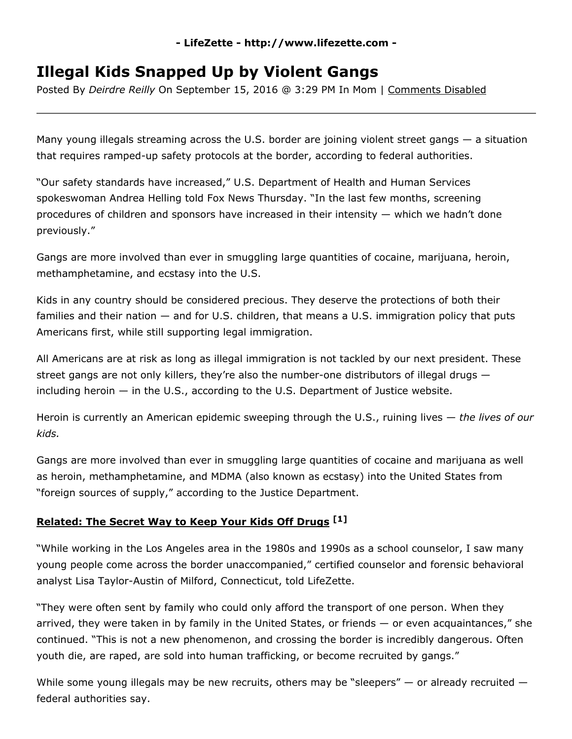## **LifeZette http://www.lifezette.com**

## **Illegal Kids Snapped Up by Violent Gangs**

Posted By *Deirdre Reilly* On September 15, 2016 @ 3:29 PM In Mom | Comments Disabled

Many young illegals streaming across the U.S. border are joining violent street gangs — a situation that requires ramped-up safety protocols at the border, according to federal authorities.

"Our safety standards have increased," U.S. Department of Health and Human Services spokeswoman Andrea Helling told Fox News Thursday. "In the last few months, screening procedures of children and sponsors have increased in their intensity — which we hadn't done previously."

Gangs are more involved than ever in smuggling large quantities of cocaine, marijuana, heroin, methamphetamine, and ecstasy into the U.S.

Kids in any country should be considered precious. They deserve the protections of both their families and their nation — and for U.S. children, that means a U.S. immigration policy that puts Americans first, while still supporting legal immigration.

All Americans are at risk as long as illegal immigration is not tackled by our next president. These street gangs are not only killers, they're also the number-one distributors of illegal drugs  $$ including heroin — in the U.S., according to the U.S. Department of Justice website.

Heroin is currently an American epidemic sweeping through the U.S., ruining lives — *the lives of our kids.*

Gangs are more involved than ever in smuggling large quantities of cocaine and marijuana as well as heroin, methamphetamine, and MDMA (also known as ecstasy) into the United States from "foreign sources of supply," according to the Justice Department.

## **[Related:](http://www.lifezette.com/healthzette/secret-way-keep-kids-off-drugs/) The Secret Way to Keep Your Kids Off Drugs [1]**

"While working in the Los Angeles area in the 1980s and 1990s as a school counselor, I saw many young people come across the border unaccompanied," certified counselor and forensic behavioral analyst Lisa Taylor-Austin of Milford, Connecticut, told LifeZette.

"They were often sent by family who could only afford the transport of one person. When they arrived, they were taken in by family in the United States, or friends — or even acquaintances," she continued. "This is not a new phenomenon, and crossing the border is incredibly dangerous. Often youth die, are raped, are sold into human trafficking, or become recruited by gangs."

While some young illegals may be new recruits, others may be "sleepers"  $-$  or already recruited  $$ federal authorities say.